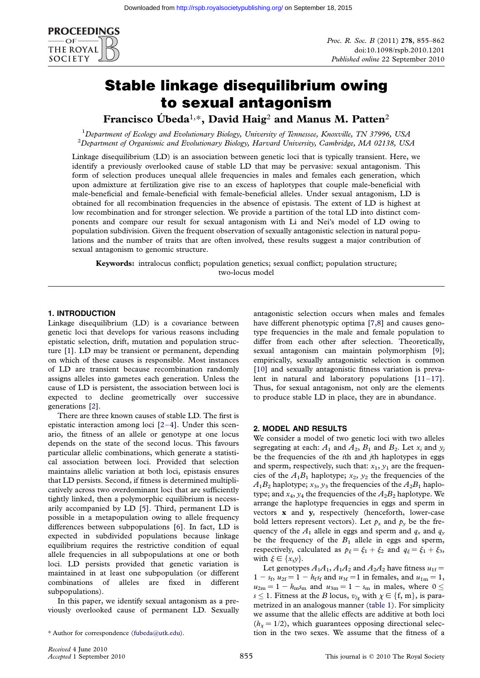

# Stable linkage disequilibrium owing to sexual antagonism

Francisco Úbeda<sup>1,\*</sup>, David Haig<sup>2</sup> and Manus M. Patten<sup>2</sup>

<sup>1</sup> Department of Ecology and Evolutionary Biology, University of Tennessee, Knoxville, TN 37996, USA<br><sup>2</sup> Department of Organismic and Evolutionary Biology, Harvard University Cambridge, MA 02138, US  ${}^{2}$ Department of Organismic and Evolutionary Biology, Harvard University, Cambridge, MA 02138, USA

Linkage disequilibrium (LD) is an association between genetic loci that is typically transient. Here, we identify a previously overlooked cause of stable LD that may be pervasive: sexual antagonism. This form of selection produces unequal allele frequencies in males and females each generation, which upon admixture at fertilization give rise to an excess of haplotypes that couple male-beneficial with male-beneficial and female-beneficial with female-beneficial alleles. Under sexual antagonism, LD is obtained for all recombination frequencies in the absence of epistasis. The extent of LD is highest at low recombination and for stronger selection. We provide a partition of the total LD into distinct components and compare our result for sexual antagonism with Li and Nei's model of LD owing to population subdivision. Given the frequent observation of sexually antagonistic selection in natural populations and the number of traits that are often involved, these results suggest a major contribution of sexual antagonism to genomic structure.

Keywords: intralocus conflict; population genetics; sexual conflict; population structure; two-locus model

## 1. INTRODUCTION

Linkage disequilibrium (LD) is a covariance between genetic loci that develops for various reasons including epistatic selection, drift, mutation and population structure [\[1](#page-6-0)]. LD may be transient or permanent, depending on which of these causes is responsible. Most instances of LD are transient because recombination randomly assigns alleles into gametes each generation. Unless the cause of LD is persistent, the association between loci is expected to decline geometrically over successive generations [\[2\]](#page-6-0).

There are three known causes of stable LD. The first is epistatic interaction among loci [[2](#page-6-0)–[4\]](#page-6-0). Under this scenario, the fitness of an allele or genotype at one locus depends on the state of the second locus. This favours particular allelic combinations, which generate a statistical association between loci. Provided that selection maintains allelic variation at both loci, epistasis ensures that LD persists. Second, if fitness is determined multiplicatively across two overdominant loci that are sufficiently tightly linked, then a polymorphic equilibrium is necessarily accompanied by LD [\[5](#page-6-0)]. Third, permanent LD is possible in a metapopulation owing to allele frequency differences between subpopulations [[6\]](#page-6-0). In fact, LD is expected in subdivided populations because linkage equilibrium requires the restrictive condition of equal allele frequencies in all subpopulations at one or both loci. LD persists provided that genetic variation is maintained in at least one subpopulation (or different combinations of alleles are fixed in different subpopulations).

In this paper, we identify sexual antagonism as a previously overlooked cause of permanent LD. Sexually antagonistic selection occurs when males and females have different phenotypic optima [[7,8\]](#page-6-0) and causes genotype frequencies in the male and female population to differ from each other after selection. Theoretically, sexual antagonism can maintain polymorphism [[9](#page-6-0)]; empirically, sexually antagonistic selection is common [\[10\]](#page-6-0) and sexually antagonistic fitness variation is prevalent in natural and laboratory populations  $[11-17]$  $[11-17]$  $[11-17]$  $[11-17]$ . Thus, for sexual antagonism, not only are the elements to produce stable LD in place, they are in abundance.

### 2. MODEL AND RESULTS

We consider a model of two genetic loci with two alleles segregating at each:  $A_1$  and  $A_2$ ,  $B_1$  and  $B_2$ . Let  $x_i$  and  $y_j$ be the frequencies of the  $i$ th and  $j$ th haplotypes in eggs and sperm, respectively, such that:  $x_1$ ,  $y_1$  are the frequencies of the  $A_1B_1$  haplotype;  $x_2, y_2$  the frequencies of the  $A_1B_2$  haplotype;  $x_3, y_3$  the frequencies of the  $A_2B_1$  haplotype; and  $x_4$ ,  $y_4$  the frequencies of the  $A_2B_2$  haplotype. We arrange the haplotype frequencies in eggs and sperm in vectors x and y, respectively (henceforth, lower-case bold letters represent vectors). Let  $p_x$  and  $p_y$  be the frequency of the  $A_1$  allele in eggs and sperm and  $q_x$  and  $q_y$ be the frequency of the  $B_1$  allele in eggs and sperm, respectively, calculated as  $p_{\xi} = \xi_1 + \xi_2$  and  $q_{\xi} = \xi_1 + \xi_3$ , with  $\xi \in \{x,y\}.$ 

Let genotypes  $A_1A_1$ ,  $A_1A_2$  and  $A_2A_2$  have fitness  $u_{1f}$  =  $1 - s_f$ ,  $u_{2f} = 1 - h_f s_f$  and  $u_{3f} = 1$  in females, and  $u_{1m} = 1$ ,  $u_{2m} = 1 - h_{m} s_m$  and  $u_{3m} = 1 - s_m$  in males, where  $0 \le$  $s \leq 1$ . Fitness at the B locus,  $v_{l\chi}$  with  $\chi \in \{\text{f, m}\},$  is parametrized in an analogous manner ([table 1\)](#page-1-0). For simplicity we assume that the allelic effects are additive at both loci  $(h<sub>x</sub> = 1/2)$ , which guarantees opposing directional selec-\* Author for correspondence ([fubeda@utk.edu](mailto:fubeda@utk.edu)). tion in the two sexes. We assume that the fitness of a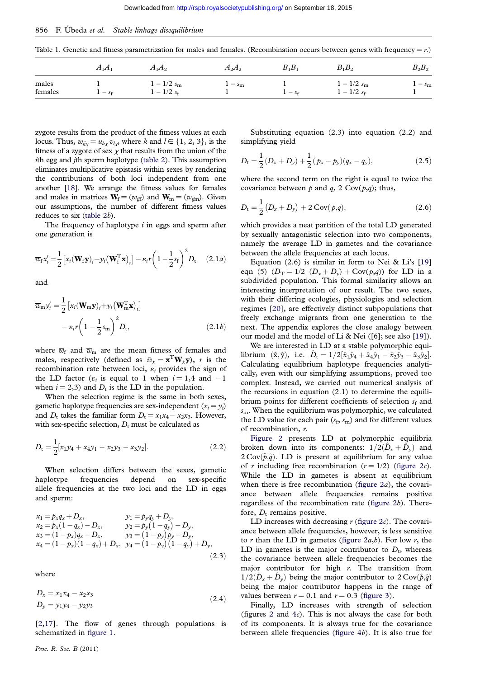<span id="page-1-0"></span>856 F. Übeda et al. Stable linkage disequilibrium

Table 1. Genetic and fitness parametrization for males and females. (Recombination occurs between genes with frequency =  $r$ .)

|                  | $A_1A_1$ | $A_1A_2$                                | $A_2A_2$              | $B_1B_1$     | $B_1B_2$                       | $B_2B_2$     |
|------------------|----------|-----------------------------------------|-----------------------|--------------|--------------------------------|--------------|
| males<br>females | -<br>36  | $1 - 1/2 s_{\rm m}$<br>$1/2 s_f$<br>$-$ | $\cdot$ – $s_{\rm m}$ | $\sim$<br>5f | $1 - 1/2 s_m$<br>$1 - 1/2 s_f$ | $-s_{\rm m}$ |

zygote results from the product of the fitness values at each locus. Thus,  $w_{ij\chi} = u_{k\chi} v_{l\chi}$ , where k and  $l \in \{1, 2, 3\}$ , is the fitness of a zygote of sex  $\chi$  that results from the union of the ith egg and jth sperm haplotype ([table 2\)](#page-2-0). This assumption eliminates multiplicative epistasis within sexes by rendering the contributions of both loci independent from one another [\[18\]](#page-7-0). We arrange the fitness values for females and males in matrices  $\mathbf{W}_{f} = (w_{ijf})$  and  $\mathbf{W}_{m} = (w_{ijm})$ . Given our assumptions, the number of different fitness values reduces to six [\(table 2](#page-2-0)b).

The frequency of haplotype  $i$  in eggs and sperm after one generation is

$$
\overline{w}_{f}x'_{i} = \frac{1}{2} \left[ x_{i}(\mathbf{W}_{f}\mathbf{y})_{i} + y_{i}(\mathbf{W}_{f}^{T}\mathbf{x})_{i} \right] - \varepsilon_{i}r \left( 1 - \frac{1}{2}s_{f} \right)^{2} D_{t} \quad (2.1a)
$$

and

$$
\overline{w}_{m} y'_{i} = \frac{1}{2} \left[ x_{i} (\mathbf{W}_{m} \mathbf{y})_{i} + y_{i} (\mathbf{W}_{m}^{T} \mathbf{x})_{i} \right]
$$

$$
- \varepsilon_{i} r \left( 1 - \frac{1}{2} s_{m} \right)^{2} D_{t}, \qquad (2.1b)
$$

where  $\overline{w}_{\text{f}}$  and  $\overline{w}_{\text{m}}$  are the mean fitness of females and males, respectively (defined as  $\bar{w}_{\chi} = \mathbf{x}^{\text{T}} \mathbf{W}_{\chi} \mathbf{y}$ ),  $r$  is the recombination rate between loci,  $\varepsilon_i$  provides the sign of the LD factor ( $\varepsilon_i$  is equal to 1 when  $i = 1,4$  and  $-1$ when  $i = 2,3$ ) and  $D_t$  is the LD in the population.

When the selection regime is the same in both sexes, gametic haplotype frequencies are sex-independent  $(x_i = y_i)$ and  $D_t$  takes the familiar form  $D_t = x_1x_4 - x_2x_3$ . However, with sex-specific selection,  $D_t$  must be calculated as

$$
D_{t} = \frac{1}{2}[x_{1}y_{4} + x_{4}y_{1} - x_{2}y_{3} - x_{3}y_{2}].
$$
\n(2.2)

When selection differs between the sexes, gametic haplotype frequencies depend on sex-specific allele frequencies at the two loci and the LD in eggs and sperm:

$$
x_1 = p_x q_x + D_x, \t y_1 = p_y q_y + D_y, \n x_2 = p_x (1 - q_x) - D_x, \t y_2 = p_y (1 - q_y) - D_y, \n x_3 = (1 - p_x) q_x - D_x, \t y_3 = (1 - p_y) p_y - D_y, \n x_4 = (1 - p_x) (1 - q_x) + D_x, \t y_4 = (1 - p_y) (1 - q_y) + D_y, \n (2.3)
$$

where

$$
D_x = x_1 x_4 - x_2 x_3
$$
  
\n
$$
D_y = y_1 y_4 - y_2 y_3
$$
\n(2.4)

[\[2,](#page-6-0)[17\]](#page-7-0). The flow of genes through populations is schematized in [figure 1.](#page-3-0)

Substituting equation (2.3) into equation (2.2) and simplifying yield

$$
D_{\rm t} = \frac{1}{2}(D_x + D_y) + \frac{1}{2}(p_x - p_y)(q_x - q_y), \qquad (2.5)
$$

where the second term on the right is equal to twice the covariance between  $p$  and  $q$ , 2 Cov( $p$ , $q$ ); thus,

$$
D_{t} = \frac{1}{2} (D_{x} + D_{y}) + 2 \operatorname{Cov}(p, q), \qquad (2.6)
$$

which provides a neat partition of the total LD generated by sexually antagonistic selection into two components, namely the average LD in gametes and the covariance between the allele frequencies at each locus.

Equation  $(2.6)$  is similar in form to Nei & Li's [[19](#page-7-0)] eqn (5)  $(D_T = 1/2 \ (D_x + D_y) + Cov(p,q))$  for LD in a subdivided population. This formal similarity allows an interesting interpretation of our result. The two sexes, with their differing ecologies, physiologies and selection regimes [[20](#page-7-0)], are effectively distinct subpopulations that freely exchange migrants from one generation to the next. The appendix explores the close analogy between our model and the model of Li & Nei ([6]; see also [\[19\]](#page-7-0)).

We are interested in LD at a stable polymorphic equilibrium  $(\hat{x}, \hat{y})$ , i.e.  $\hat{D}_t = 1/2[\hat{x}_1\hat{y}_4 + \hat{x}_4\hat{y}_1 - \hat{x}_2\hat{y}_3 - \hat{x}_3\hat{y}_2].$ Calculating equilibrium haplotype frequencies analytically, even with our simplifying assumptions, proved too complex. Instead, we carried out numerical analysis of the recursions in equation (2.1) to determine the equilibrium points for different coefficients of selection  $s_f$  and  $s<sub>m</sub>$ . When the equilibrium was polymorphic, we calculated the LD value for each pair  $(s_f, s_m)$  and for different values of recombination, r.

[Figure 2](#page-4-0) presents LD at polymorphic equilibria broken down into its components:  $1/2(D_x + D_y)$  and  $2 \text{Cov}(\hat{p},\hat{q})$ . LD is present at equilibrium for any value of r including free recombination  $(r = 1/2)$  ([figure 2](#page-4-0)c). While the LD in gametes is absent at equilibrium when there is free recombination (figure  $2a$ ), the covariance between allele frequencies remains positive regardless of the recombination rate [\(figure 2](#page-4-0)b). Therefore,  $D_t$  remains positive.

LD increases with decreasing  $r$  ([figure 2](#page-4-0) $c$ ). The covariance between allele frequencies, however, is less sensitive to  $r$  than the LD in gametes (figure  $2a,b$ ). For low  $r$ , the LD in gametes is the major contributor to  $D_t$ , whereas the covariance between allele frequencies becomes the major contributor for high  $r$ . The transition from  $1/2(D_x + D_y)$  being the major contributor to  $2 \text{Cov}(\hat{p},\hat{q})$ being the major contributor happens in the range of values between  $r = 0.1$  and  $r = 0.3$  ([figure 3\)](#page-5-0).

Finally, LD increases with strength of selection (figures [2](#page-4-0) and  $4c$  $4c$ ). This is not always the case for both of its components. It is always true for the covariance between allele frequencies ([figure 4](#page-5-0)b). It is also true for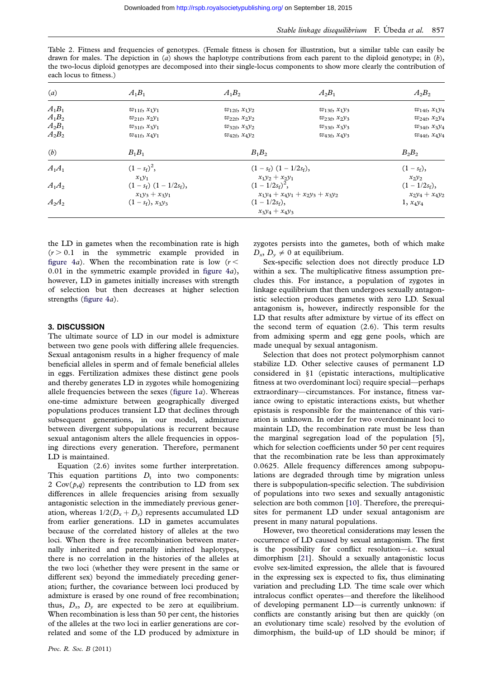<span id="page-2-0"></span>Table 2. Fitness and frequencies of genotypes. (Female fitness is chosen for illustration, but a similar table can easily be drawn for males. The depiction in (a) shows the haplotype contributions from each parent to the diploid genotype; in  $(b)$ , the two-locus diploid genotypes are decomposed into their single-locus components to show more clearly the contribution of each locus to fitness.)

| (a)      | $A_1B_1$                                          | $A_1B_2$                                                  | $A_2B_1$               | $A_2B_2$                             |
|----------|---------------------------------------------------|-----------------------------------------------------------|------------------------|--------------------------------------|
| $A_1B_1$ | $w_{11f}$ , $x_1y_1$                              | $w_{12f}$ , $x_1y_2$                                      | $w_{13f}$ , $x_1y_3$   | $w_{14f}$ , $x_1y_4$                 |
| $A_1B_2$ | $w_{21f}$ , $x_{2}y_1$                            | $w_{22f}$ , $x_{2}y_2$                                    | $w_{23f}$ , $x_{2}y_3$ | $w_{24f}$ , $x_{2}y_4$               |
| $A_2B_1$ | $w_{31f}$ , $x_3y_1$                              | $w_{32f}$ , $x_3y_2$                                      | $w_{33f}, x_3y_3$      | $w_{34f}$ , $x_3y_4$                 |
| $A_2B_2$ | $w_{41f}$ , $x_4y_1$                              | $w_{42f}$ , $x_{4}y_2$                                    | $w_{43f}$ , $x_{4}y_3$ | $w_{44f}$ , $x_4y_4$                 |
| (b)      | $B_1B_1$                                          | $B_1B_2$                                                  |                        | $B_2B_2$                             |
| $A_1A_1$ | $(1 - s_f)^2$ ,<br>$x_1y_1$                       | $(1 - s_f)$ $(1 - 1/2s_f)$ ,<br>$x_1y_2 + x_2y_1$         |                        | $(1 - s_f),$<br>$x_2y_2$             |
| $A_1A_2$ | $(1 - s_f)$ $(1 - 1/2s_f)$ ,<br>$x_1y_3 + x_3y_1$ | $(1 - 1/2s_f)^2$ ,<br>$x_1y_4 + x_4y_1 + x_2y_3 + x_3y_2$ |                        | $(1 - 1/2s_f),$<br>$x_2y_4 + x_4y_2$ |
| $A_2A_2$ | $(1 - s_f)$ , $x_3y_3$                            | $(1 - 1/2s_f),$<br>$x_3y_4 + x_4y_3$                      |                        | $1, x_4y_4$                          |

the LD in gametes when the recombination rate is high  $(r > 0.1$  in the symmetric example provided in [figure 4](#page-5-0)a). When the recombination rate is low  $(r <$ 0.01 in the symmetric example provided in figure  $4a$ ), however, LD in gametes initially increases with strength of selection but then decreases at higher selection strengths ([figure 4](#page-5-0)a).

#### 3. DISCUSSION

The ultimate source of LD in our model is admixture between two gene pools with differing allele frequencies. Sexual antagonism results in a higher frequency of male beneficial alleles in sperm and of female beneficial alleles in eggs. Fertilization admixes these distinct gene pools and thereby generates LD in zygotes while homogenizing allele frequencies between the sexes (figure  $1a$ ). Whereas one-time admixture between geographically diverged populations produces transient LD that declines through subsequent generations, in our model, admixture between divergent subpopulations is recurrent because sexual antagonism alters the allele frequencies in opposing directions every generation. Therefore, permanent LD is maintained.

Equation (2.6) invites some further interpretation. This equation partitions  $D_t$  into two components: 2  $Cov(p,q)$  represents the contribution to LD from sex differences in allele frequencies arising from sexually antagonistic selection in the immediately previous generation, whereas  $1/2(D_x + D_y)$  represents accumulated LD from earlier generations. LD in gametes accumulates because of the correlated history of alleles at the two loci. When there is free recombination between maternally inherited and paternally inherited haplotypes, there is no correlation in the histories of the alleles at the two loci (whether they were present in the same or different sex) beyond the immediately preceding generation; further, the covariance between loci produced by admixture is erased by one round of free recombination; thus,  $D_x$ ,  $D_y$  are expected to be zero at equilibrium. When recombination is less than 50 per cent, the histories of the alleles at the two loci in earlier generations are correlated and some of the LD produced by admixture in zygotes persists into the gametes, both of which make  $D_{\gamma}, D_{\gamma} \neq 0$  at equilibrium.

Sex-specific selection does not directly produce LD within a sex. The multiplicative fitness assumption precludes this. For instance, a population of zygotes in linkage equilibrium that then undergoes sexually antagonistic selection produces gametes with zero LD. Sexual antagonism is, however, indirectly responsible for the LD that results after admixture by virtue of its effect on the second term of equation (2.6). This term results from admixing sperm and egg gene pools, which are made unequal by sexual antagonism.

Selection that does not protect polymorphism cannot stabilize LD. Other selective causes of permanent LD considered in §1 (epistatic interactions, multiplicative fitness at two overdominant loci) require special—perhaps extraordinary—circumstances. For instance, fitness variance owing to epistatic interactions exists, but whether epistasis is responsible for the maintenance of this variation is unknown. In order for two overdominant loci to maintain LD, the recombination rate must be less than the marginal segregation load of the population [[5](#page-6-0)], which for selection coefficients under 50 per cent requires that the recombination rate be less than approximately 0.0625. Allele frequency differences among subpopulations are degraded through time by migration unless there is subpopulation-specific selection. The subdivision of populations into two sexes and sexually antagonistic selection are both common [\[10\]](#page-6-0). Therefore, the prerequisites for permanent LD under sexual antagonism are present in many natural populations.

However, two theoretical considerations may lessen the occurrence of LD caused by sexual antagonism. The first is the possibility for conflict resolution—i.e. sexual dimorphism [[21](#page-7-0)]. Should a sexually antagonistic locus evolve sex-limited expression, the allele that is favoured in the expressing sex is expected to fix, thus eliminating variation and precluding LD. The time scale over which intralocus conflict operates—and therefore the likelihood of developing permanent LD—is currently unknown: if conflicts are constantly arising but then are quickly (on an evolutionary time scale) resolved by the evolution of dimorphism, the build-up of LD should be minor; if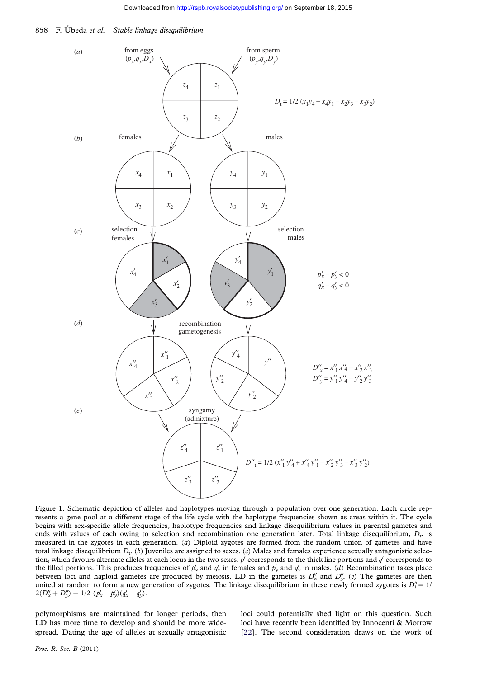<span id="page-3-0"></span>



Figure 1. Schematic depiction of alleles and haplotypes moving through a population over one generation. Each circle represents a gene pool at a different stage of the life cycle with the haplotype frequencies shown as areas within it. The cycle begins with sex-specific allele frequencies, haplotype frequencies and linkage disequilibrium values in parental gametes and ends with values of each owing to selection and recombination one generation later. Total linkage disequilibrium,  $D_{\rm t}$  is measured in the zygotes in each generation. (a) Diploid zygotes are formed from the random union of gametes and have total linkage disequilibrium  $D_t$ . (b) Juveniles are assigned to sexes. (c) Males and females experience sexually antagonistic selection, which favours alternate alleles at each locus in the two sexes.  $p'$  corresponds to the thick line portions and  $q'$  corresponds to the filled portions. This produces frequencies of  $p'_x$  and  $q'_x$  in females and  $p'_y$  and  $q'_y$  in males. (d) Recombination takes place between loci and haploid gametes are produced by meiosis. LD in the gametes is  $D''_x$  and  $D''_y$  (e) The gametes are then united at random to form a new generation of zygotes. The linkage disequilibrium in these newly formed zygotes is  $D''_1 = 1/\sqrt{2}$  $2(D''_x+D''_y)+1/2~(p'_x-p'_y)(q'_x-q'_y).$ 

polymorphisms are maintained for longer periods, then LD has more time to develop and should be more widespread. Dating the age of alleles at sexually antagonistic loci could potentially shed light on this question. Such loci have recently been identified by Innocenti & Morrow [\[22\]](#page-7-0). The second consideration draws on the work of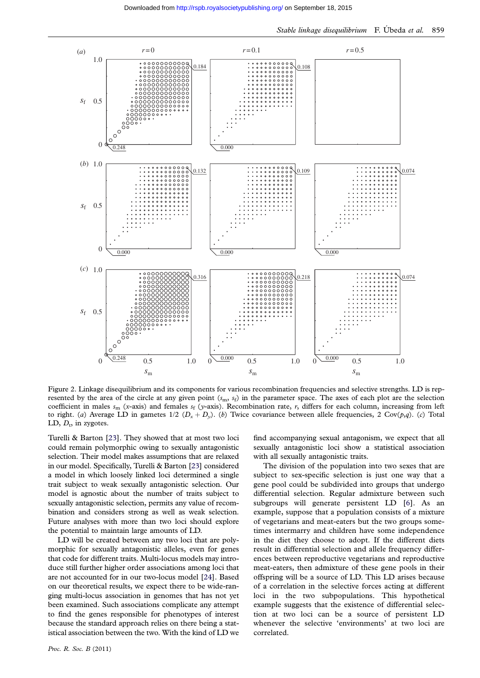<span id="page-4-0"></span>

Figure 2. Linkage disequilibrium and its components for various recombination frequencies and selective strengths. LD is represented by the area of the circle at any given point  $(s_m, s_f)$  in the parameter space. The axes of each plot are the selection coefficient in males  $s_m$  (x-axis) and females  $s_f$  (y-axis). Recombination rate, r, differs for each column, increasing from left to right. (a) Average LD in gametes  $1/2$  ( $D_x + D_y$ ). (b) Twice covariance between allele frequencies, 2 Cov(p,q). (c) Total LD,  $D_t$ , in zygotes.

Turelli & Barton [\[23\]](#page-7-0). They showed that at most two loci could remain polymorphic owing to sexually antagonistic selection. Their model makes assumptions that are relaxed in our model. Specifically, Turelli & Barton [\[23](#page-7-0)] considered a model in which loosely linked loci determined a single trait subject to weak sexually antagonistic selection. Our model is agnostic about the number of traits subject to sexually antagonistic selection, permits any value of recombination and considers strong as well as weak selection. Future analyses with more than two loci should explore the potential to maintain large amounts of LD.

LD will be created between any two loci that are polymorphic for sexually antagonistic alleles, even for genes that code for different traits. Multi-locus models may introduce still further higher order associations among loci that are not accounted for in our two-locus model [[24\]](#page-7-0). Based on our theoretical results, we expect there to be wide-ranging multi-locus association in genomes that has not yet been examined. Such associations complicate any attempt to find the genes responsible for phenotypes of interest because the standard approach relies on there being a statistical association between the two. With the kind of LD we

Proc. R. Soc. B (2011)

find accompanying sexual antagonism, we expect that all sexually antagonistic loci show a statistical association with all sexually antagonistic traits.

The division of the population into two sexes that are subject to sex-specific selection is just one way that a gene pool could be subdivided into groups that undergo differential selection. Regular admixture between such subgroups will generate persistent LD [[6\]](#page-6-0). As an example, suppose that a population consists of a mixture of vegetarians and meat-eaters but the two groups sometimes intermarry and children have some independence in the diet they choose to adopt. If the different diets result in differential selection and allele frequency differences between reproductive vegetarians and reproductive meat-eaters, then admixture of these gene pools in their offspring will be a source of LD. This LD arises because of a correlation in the selective forces acting at different loci in the two subpopulations. This hypothetical example suggests that the existence of differential selection at two loci can be a source of persistent LD whenever the selective 'environments' at two loci are correlated.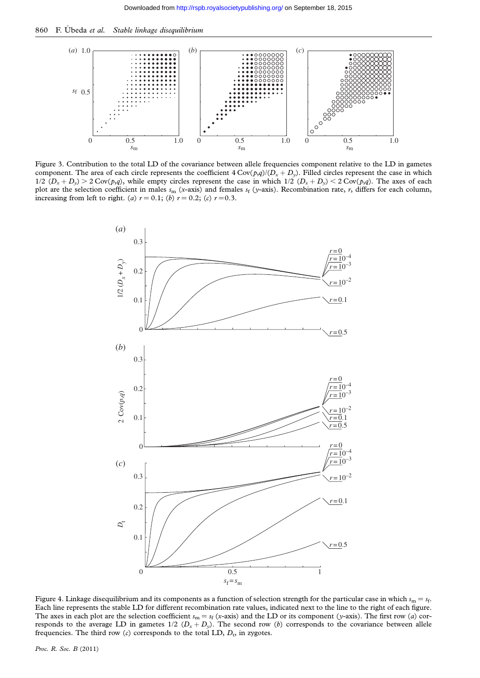<span id="page-5-0"></span>860 F. Úbeda et al. Stable linkage disequilibrium



Figure 3. Contribution to the total LD of the covariance between allele frequencies component relative to the LD in gametes component. The area of each circle represents the coefficient  $4 \text{Cov}(p,q)/(D_x + D_y)$ . Filled circles represent the case in which  $1/2$   $(D_x + D_y) > 2$  Cov(p,q), while empty circles represent the case in which  $1/2$   $(D_x + D_y) < 2$  Cov(p,q). The axes of each plot are the selection coefficient in males  $s_m$  (x-axis) and females  $s_f$  (y-axis). Recombination rate, r, differs for each column, increasing from left to right. (a)  $r = 0.1$ ; (b)  $r = 0.2$ ; (c)  $r = 0.3$ .



Figure 4. Linkage disequilibrium and its components as a function of selection strength for the particular case in which  $s_m = s_f$ . Each line represents the stable LD for different recombination rate values, indicated next to the line to the right of each figure. The axes in each plot are the selection coefficient  $s_m = s_f$  (x-axis) and the LD or its component (y-axis). The first row (a) corresponds to the average LD in gametes  $1/2$   $(D_x + D_y)$ . The second row (b) corresponds to the covariance between allele frequencies. The third row  $(c)$  corresponds to the total LD,  $D_t$ , in zygotes.

Proc. R. Soc. B (2011)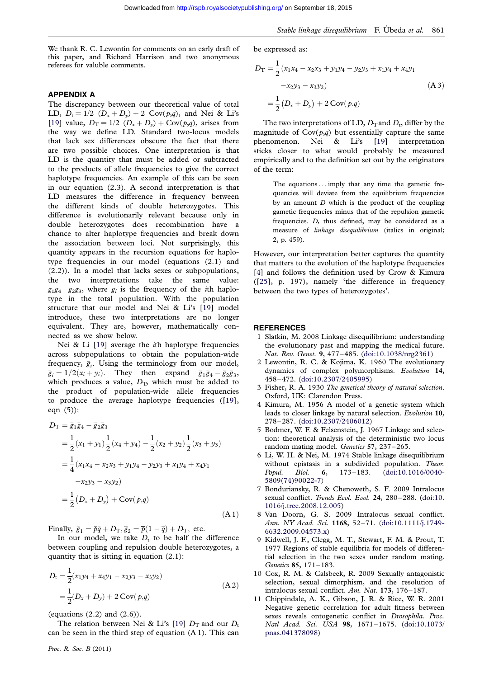<span id="page-6-0"></span>We thank R. C. Lewontin for comments on an early draft of this paper, and Richard Harrison and two anonymous referees for valuble comments.

#### APPENDIX A

The discrepancy between our theoretical value of total LD,  $D_t = 1/2$   $(D_x + D_y) + 2$  Cov $(p,q)$ , and Nei & Li's [\[19\]](#page-7-0) value,  $D_T = 1/2$   $(D_x + D_y) + Cov(p,q)$ , arises from the way we define LD. Standard two-locus models that lack sex differences obscure the fact that there are two possible choices. One interpretation is that LD is the quantity that must be added or subtracted to the products of allele frequencies to give the correct haplotype frequencies. An example of this can be seen in our equation (2.3). A second interpretation is that LD measures the difference in frequency between the different kinds of double heterozygotes. This difference is evolutionarily relevant because only in double heterozygotes does recombination have a chance to alter haplotype frequencies and break down the association between loci. Not surprisingly, this quantity appears in the recursion equations for haplotype frequencies in our model (equations (2.1) and (2.2)). In a model that lacks sexes or subpopulations, two interpretations take the same value:  $g_1g_4-g_2g_3$ , where  $g_i$  is the frequency of the *i*th haplotype in the total population. With the population structure that our model and Nei & Li's [\[19\]](#page-7-0) model introduce, these two interpretations are no longer equivalent. They are, however, mathematically connected as we show below.

Nei & Li [\[19\]](#page-7-0) average the *i*th haplotype frequencies across subpopulations to obtain the population-wide frequency,  $\bar{g}_i$ . Using the terminology from our model,  $\overline{g}_i = 1/2(x_i + y_i)$ . They then expand  $\overline{g}_1 \overline{g}_4 - \overline{g}_2 \overline{g}_3$ , which produces a value,  $D<sub>T</sub>$ , which must be added to the product of population-wide allele frequencies to produce the average haplotype frequencies ([[19](#page-7-0)], eqn (5)):

$$
D_{\text{T}} = \bar{g}_{1}\bar{g}_{4} - \bar{g}_{2}\bar{g}_{3}
$$
  
=  $\frac{1}{2}(x_{1} + y_{1})\frac{1}{2}(x_{4} + y_{4}) - \frac{1}{2}(x_{2} + y_{2})\frac{1}{2}(x_{3} + y_{3})$   
=  $\frac{1}{4}(x_{1}x_{4} - x_{2}x_{3} + y_{1}y_{4} - y_{2}y_{3} + x_{1}y_{4} + x_{4}y_{1}$   
 $-x_{2}y_{3} - x_{3}y_{2})$   
=  $\frac{1}{2}(D_{x} + D_{y}) + \text{Cov}(p,q)$  (A1)

Finally,  $\bar{g}_1 = \bar{p}\bar{q} + D_T$ ,  $\bar{g}_2 = \bar{p}(1 - \bar{q}) + D_T$ , etc.

In our model, we take  $D_t$  to be half the difference between coupling and repulsion double heterozygotes, a quantity that is sitting in equation (2.1):

$$
D_{t} = \frac{1}{2}(x_{1}y_{4} + x_{4}y_{1} - x_{2}y_{3} - x_{3}y_{2})
$$
  
=  $\frac{1}{2}(D_{x} + D_{y}) + 2 \text{ Cov}(p,q)$  (A 2)

(equations  $(2.2)$  and  $(2.6)$ ).

The relation between Nei & Li's [[19](#page-7-0)]  $D_T$  and our  $D_t$ can be seen in the third step of equation (A 1). This can

be expressed as:

$$
D_{\rm T} = \frac{1}{2} (x_1 x_4 - x_2 x_3 + y_1 y_4 - y_2 y_3 + x_1 y_4 + x_4 y_1
$$
  

$$
-x_2 y_3 - x_3 y_2)
$$
  

$$
= \frac{1}{2} (D_x + D_y) + 2 \operatorname{Cov}(p.q)
$$
 (A 3)

The two interpretations of LD,  $D_T$  and  $D_t$ , differ by the magnitude of  $Cov(p,q)$  but essentially capture the same phenomenon. Nei & Li's [\[19\]](#page-7-0) interpretation sticks closer to what would probably be measured empirically and to the definition set out by the originators of the term:

The equations... imply that any time the gametic frequencies will deviate from the equilibrium frequencies by an amount  $D$  which is the product of the coupling gametic frequencies minus that of the repulsion gametic frequencies. D, thus defined, may be considered as a measure of *linkage disequilibrium* (italics in original; 2, p. 459).

However, our interpretation better captures the quantity that matters to the evolution of the haplotype frequencies [4] and follows the definition used by Crow & Kimura ([[25](#page-7-0)], p. 197), namely 'the difference in frequency between the two types of heterozygotes'.

#### **REFERENCES**

- 1 Slatkin, M. 2008 Linkage disequilibrium: understanding the evolutionary past and mapping the medical future. Nat. Rev. Genet. 9, 477–485. [\(doi:10.1038/nrg2361](http://dx.doi.org/doi:10.1038/nrg2361))
- 2 Lewontin, R. C. & Kojima, K. 1960 The evolutionary dynamics of complex polymorphisms. Evolution 14, 458 –472. ([doi:10.2307/2405995](http://dx.doi.org/doi:10.2307/2405995))
- 3 Fisher, R. A. 1930 The genetical theory of natural selection. Oxford, UK: Clarendon Press.
- 4 Kimura, M. 1956 A model of a genetic system which leads to closer linkage by natural selection. Evolution 10, 278 –287. ([doi:10.2307/2406012](http://dx.doi.org/doi:10.2307/2406012))
- 5 Bodmer, W. F. & Felsenstein, J. 1967 Linkage and selection: theoretical analysis of the deterministic two locus random mating model. Genetics 57, 237 –265.
- 6 Li, W. H. & Nei, M. 1974 Stable linkage disequilibrium without epistasis in a subdivided population. Theor. Popul. Biol. 6, 173-183. [\(doi:10.1016/0040-](http://dx.doi.org/doi:10.1016/0040-5809(74)90022-7) [5809\(74\)90022-7](http://dx.doi.org/doi:10.1016/0040-5809(74)90022-7))
- 7 Bonduriansky, R. & Chenoweth, S. F. 2009 Intralocus sexual conflict. Trends Ecol. Evol. 24, 280-288. ([doi:10.](http://dx.doi.org/doi:10.1016/j.tree.2008.12.005) [1016/j.tree.2008.12.005](http://dx.doi.org/doi:10.1016/j.tree.2008.12.005))
- 8 Van Doorn, G. S. 2009 Intralocus sexual conflict. Ann. NY Acad. Sci. 1168, 52–71. [\(doi:10.1111/j.1749-](http://dx.doi.org/doi:10.1111/j.1749-6632.2009.04573.x) [6632.2009.04573.x](http://dx.doi.org/doi:10.1111/j.1749-6632.2009.04573.x))
- 9 Kidwell, J. F., Clegg, M. T., Stewart, F. M. & Prout, T. 1977 Regions of stable equilibria for models of differential selection in the two sexes under random mating. Genetics 85, 171–183.
- 10 Cox, R. M. & Calsbeek, R. 2009 Sexually antagonistic selection, sexual dimorphism, and the resolution of intralocus sexual conflict. Am. Nat. 173, 176-187.
- 11 Chippindale, A. K., Gibson, J. R. & Rice, W. R. 2001 Negative genetic correlation for adult fitness between sexes reveals ontogenetic conflict in Drosophila. Proc. Natl Acad. Sci. USA 98, 1671–1675. ([doi:10.1073/](http://dx.doi.org/doi:10.1073/pnas.041378098) [pnas.041378098](http://dx.doi.org/doi:10.1073/pnas.041378098))